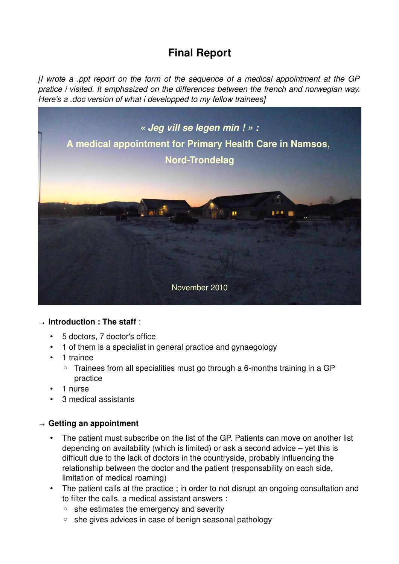# **Final Report**

*[I wrote a .ppt report on the form of the sequence of a medical appointment at the GP pratice i visited. It emphasized on the differences between the french and norwegian way. Here's a .doc version of what i developped to my fellow trainees]*



#### → **Introduction : The staff** :

- 5 doctors, 7 doctor's office
- 1 of them is a specialist in general practice and gynaegology
- 1 trainee
	- Trainees from all specialities must go through a 6-months training in a GP practice
- 1 nurse
- 3 medical assistants

# → **Getting an appointment**

- The patient must subscribe on the list of the GP. Patients can move on another list depending on availability (which is limited) or ask a second advice – yet this is difficult due to the lack of doctors in the countryside, probably influencing the relationship between the doctor and the patient (responsability on each side, limitation of medical roaming)
- The patient calls at the practice ; in order to not disrupt an ongoing consultation and to filter the calls, a medical assistant answers :
	- she estimates the emergency and severity
	- she gives advices in case of benign seasonal pathology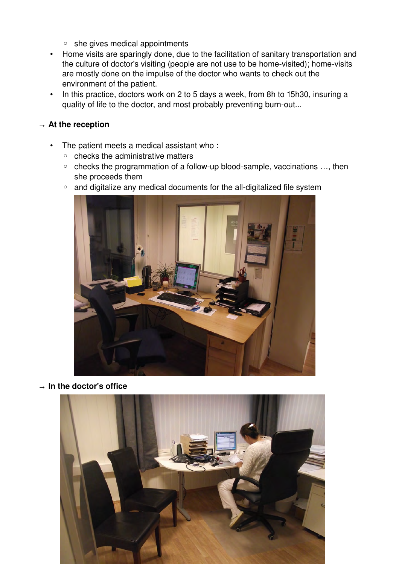- she gives medical appointments
- Home visits are sparingly done, due to the facilitation of sanitary transportation and the culture of doctor's visiting (people are not use to be home-visited); home-visits are mostly done on the impulse of the doctor who wants to check out the environment of the patient.
- In this practice, doctors work on 2 to 5 days a week, from 8h to 15h30, insuring a quality of life to the doctor, and most probably preventing burn-out...

#### **→ At the reception**

- The patient meets a medical assistant who :
	- checks the administrative matters
	- checks the programmation of a followup bloodsample, vaccinations …, then she proceeds them
	- and digitalize any medical documents for the all-digitalized file system



**→ In the doctor's office**

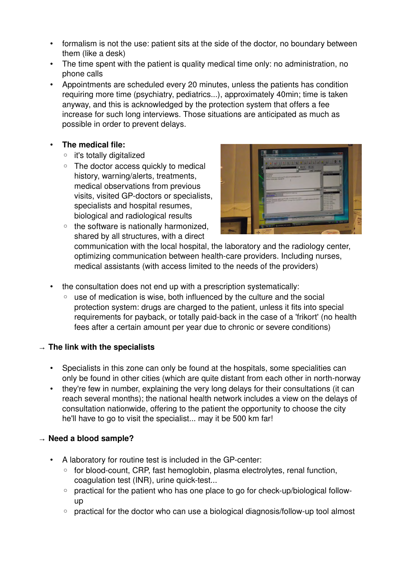- formalism is not the use: patient sits at the side of the doctor, no boundary between them (like a desk)
- The time spent with the patient is quality medical time only: no administration, no phone calls
- Appointments are scheduled every 20 minutes, unless the patients has condition requiring more time (psychiatry, pediatrics...), approximately 40min; time is taken anyway, and this is acknowledged by the protection system that offers a fee increase for such long interviews. Those situations are anticipated as much as possible in order to prevent delays.

# • **The medical file:**

- it's totally digitalized
- The doctor access quickly to medical history, warning/alerts, treatments, medical observations from previous visits, visited GP-doctors or specialists, specialists and hospital resumes, biological and radiological results
- the software is nationally harmonized, shared by all structures, with a direct



communication with the local hospital, the laboratory and the radiology center, optimizing communication between health-care providers. Including nurses, medical assistants (with access limited to the needs of the providers)

- the consultation does not end up with a prescription systematically:
	- use of medication is wise, both influenced by the culture and the social protection system: drugs are charged to the patient, unless it fits into special requirements for payback, or totally paid-back in the case of a 'frikort' (no health fees after a certain amount per year due to chronic or severe conditions)

# **→ The link with the specialists**

- Specialists in this zone can only be found at the hospitals, some specialities can only be found in other cities (which are quite distant from each other in north-norway
- they're few in number, explaining the very long delays for their consultations (it can reach several months); the national health network includes a view on the delays of consultation nationwide, offering to the patient the opportunity to choose the city he'll have to go to visit the specialist... may it be 500 km far!

# **→ Need a blood sample?**

- A laboratory for routine test is included in the GP-center:
	- for blood-count, CRP, fast hemoglobin, plasma electrolytes, renal function, coagulation test (INR), urine quick-test...
	- practical for the patient who has one place to go for check-up/biological followup
	- practical for the doctor who can use a biological diagnosis/follow-up tool almost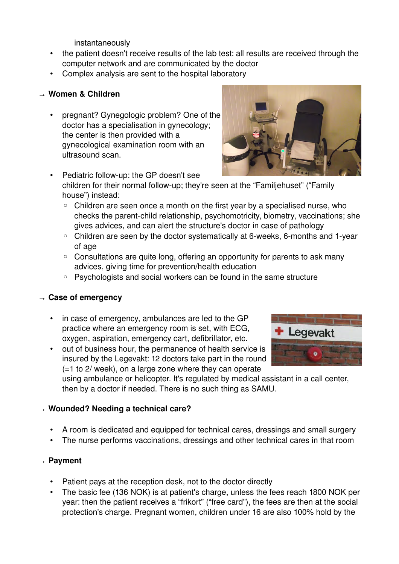instantaneously

- the patient doesn't receive results of the lab test: all results are received through the computer network and are communicated by the doctor
- Complex analysis are sent to the hospital laboratory

## **→ Women & Children**

• pregnant? Gynegologic problem? One of the doctor has a specialisation in gynecology; the center is then provided with a gynecological examination room with an ultrasound scan.



- Pediatric follow-up: the GP doesn't see children for their normal follow-up; they're seen at the "Familjehuset" ("Family house") instead:
	- Children are seen once a month on the first year by a specialised nurse, who checks the parent-child relationship, psychomotricity, biometry, vaccinations; she gives advices, and can alert the structure's doctor in case of pathology
	- Children are seen by the doctor systematically at 6-weeks, 6-months and 1-year of age
	- Consultations are quite long, offering an opportunity for parents to ask many advices, giving time for prevention/health education
	- Psychologists and social workers can be found in the same structure

#### **→ Case of emergency**

- in case of emergency, ambulances are led to the GP practice where an emergency room is set, with ECG, oxygen, aspiration, emergency cart, defibrillator, etc.
- out of business hour, the permanence of health service is insured by the Legevakt: 12 doctors take part in the round (=1 to 2/ week), on a large zone where they can operate



using ambulance or helicopter. It's regulated by medical assistant in a call center, then by a doctor if needed. There is no such thing as SAMU.

#### → **Wounded? Needing a technical care?**

- A room is dedicated and equipped for technical cares, dressings and small surgery
- The nurse performs vaccinations, dressings and other technical cares in that room

#### → **Payment**

- Patient pays at the reception desk, not to the doctor directly
- The basic fee (136 NOK) is at patient's charge, unless the fees reach 1800 NOK per year: then the patient receives a "frikort" ("free card"), the fees are then at the social protection's charge. Pregnant women, children under 16 are also 100% hold by the